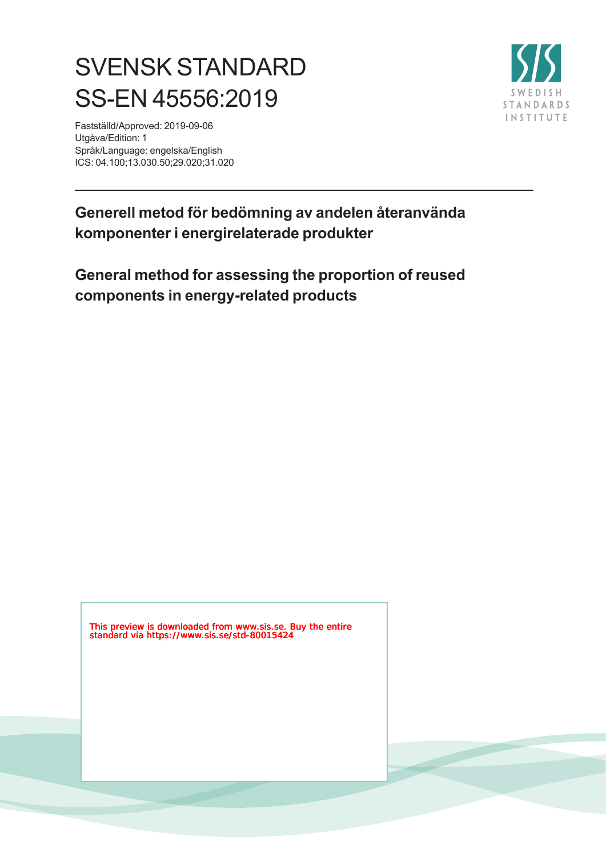# SVENSK STANDARD SS-EN 45556:2019

Fastställd/Approved: 2019-09-06 Utgåva/Edition: 1 Språk/Language: engelska/English ICS: 04.100;13.030.50;29.020;31.020



## **Generell metod för bedömning av andelen återanvända komponenter i energirelaterade produkter**

**General method for assessing the proportion of reused components in energy-related products**

This preview is downloaded from www.sis.se. Buy the entire standard via https://www.sis.se/std-80015424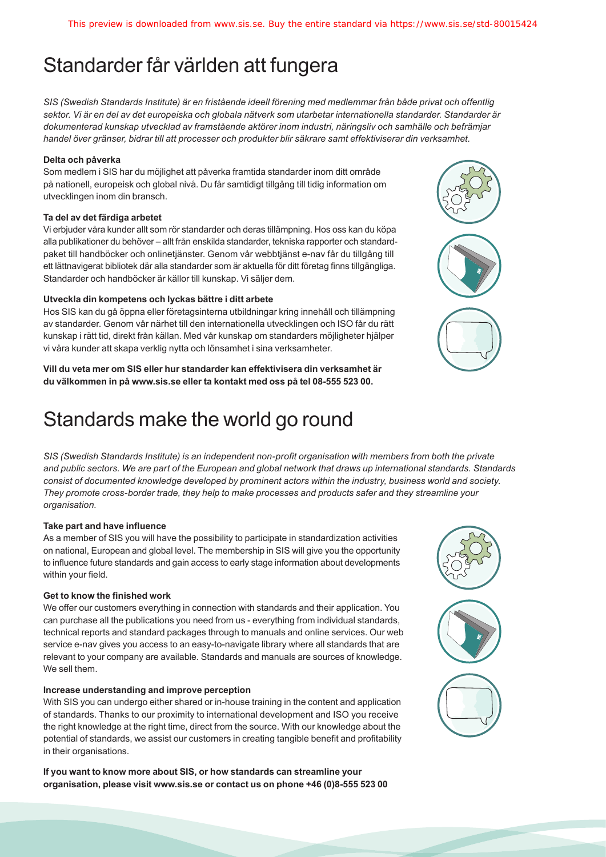## Standarder får världen att fungera

*SIS (Swedish Standards Institute) är en fristående ideell förening med medlemmar från både privat och offentlig sektor. Vi är en del av det europeiska och globala nätverk som utarbetar internationella standarder. Standarder är dokumenterad kunskap utvecklad av framstående aktörer inom industri, näringsliv och samhälle och befrämjar handel över gränser, bidrar till att processer och produkter blir säkrare samt effektiviserar din verksamhet.* 

#### **Delta och påverka**

Som medlem i SIS har du möjlighet att påverka framtida standarder inom ditt område på nationell, europeisk och global nivå. Du får samtidigt tillgång till tidig information om utvecklingen inom din bransch.

### **Ta del av det färdiga arbetet**

Vi erbjuder våra kunder allt som rör standarder och deras tillämpning. Hos oss kan du köpa alla publikationer du behöver – allt från enskilda standarder, tekniska rapporter och standardpaket till handböcker och onlinetjänster. Genom vår webbtjänst e-nav får du tillgång till ett lättnavigerat bibliotek där alla standarder som är aktuella för ditt företag finns tillgängliga. Standarder och handböcker är källor till kunskap. Vi säljer dem.

#### **Utveckla din kompetens och lyckas bättre i ditt arbete**

Hos SIS kan du gå öppna eller företagsinterna utbildningar kring innehåll och tillämpning av standarder. Genom vår närhet till den internationella utvecklingen och ISO får du rätt kunskap i rätt tid, direkt från källan. Med vår kunskap om standarders möjligheter hjälper vi våra kunder att skapa verklig nytta och lönsamhet i sina verksamheter.

**Vill du veta mer om SIS eller hur standarder kan effektivisera din verksamhet är du välkommen in på www.sis.se eller ta kontakt med oss på tel 08-555 523 00.**

## Standards make the world go round

*SIS (Swedish Standards Institute) is an independent non-profit organisation with members from both the private and public sectors. We are part of the European and global network that draws up international standards. Standards consist of documented knowledge developed by prominent actors within the industry, business world and society. They promote cross-border trade, they help to make processes and products safer and they streamline your organisation.*

#### **Take part and have influence**

As a member of SIS you will have the possibility to participate in standardization activities on national, European and global level. The membership in SIS will give you the opportunity to influence future standards and gain access to early stage information about developments within your field.

### **Get to know the finished work**

We offer our customers everything in connection with standards and their application. You can purchase all the publications you need from us - everything from individual standards, technical reports and standard packages through to manuals and online services. Our web service e-nav gives you access to an easy-to-navigate library where all standards that are relevant to your company are available. Standards and manuals are sources of knowledge. We sell them.

#### **Increase understanding and improve perception**

With SIS you can undergo either shared or in-house training in the content and application of standards. Thanks to our proximity to international development and ISO you receive the right knowledge at the right time, direct from the source. With our knowledge about the potential of standards, we assist our customers in creating tangible benefit and profitability in their organisations.

**If you want to know more about SIS, or how standards can streamline your organisation, please visit www.sis.se or contact us on phone +46 (0)8-555 523 00**



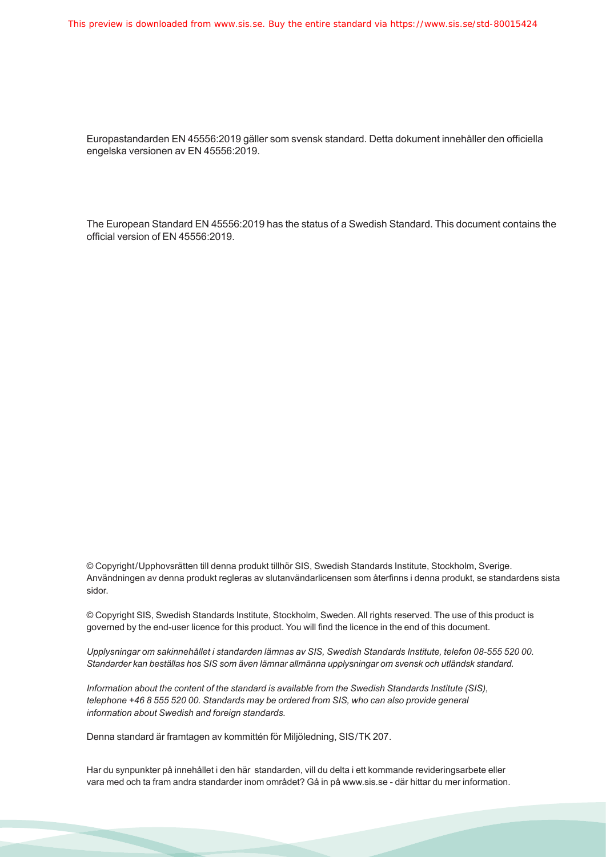Europastandarden EN 45556:2019 gäller som svensk standard. Detta dokument innehåller den officiella engelska versionen av EN 45556:2019.

The European Standard EN 45556:2019 has the status of a Swedish Standard. This document contains the official version of EN 45556:2019.

© Copyright / Upphovsrätten till denna produkt tillhör SIS, Swedish Standards Institute, Stockholm, Sverige. Användningen av denna produkt regleras av slutanvändarlicensen som återfinns i denna produkt, se standardens sista sidor.

© Copyright SIS, Swedish Standards Institute, Stockholm, Sweden. All rights reserved. The use of this product is governed by the end-user licence for this product. You will find the licence in the end of this document.

*Upplysningar om sakinnehållet i standarden lämnas av SIS, Swedish Standards Institute, telefon 08-555 520 00. Standarder kan beställas hos SIS som även lämnar allmänna upplysningar om svensk och utländsk standard.*

*Information about the content of the standard is available from the Swedish Standards Institute (SIS), telephone +46 8 555 520 00. Standards may be ordered from SIS, who can also provide general information about Swedish and foreign standards.*

Denna standard är framtagen av kommittén för Miljöledning, SIS / TK 207.

Har du synpunkter på innehållet i den här standarden, vill du delta i ett kommande revideringsarbete eller vara med och ta fram andra standarder inom området? Gå in på www.sis.se - där hittar du mer information.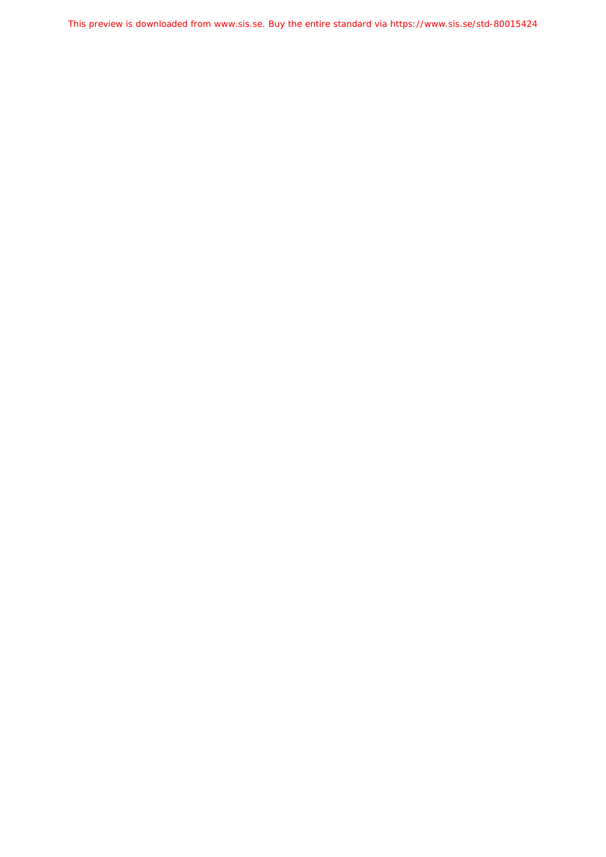This preview is downloaded from www.sis.se. Buy the entire standard via https://www.sis.se/std-80015424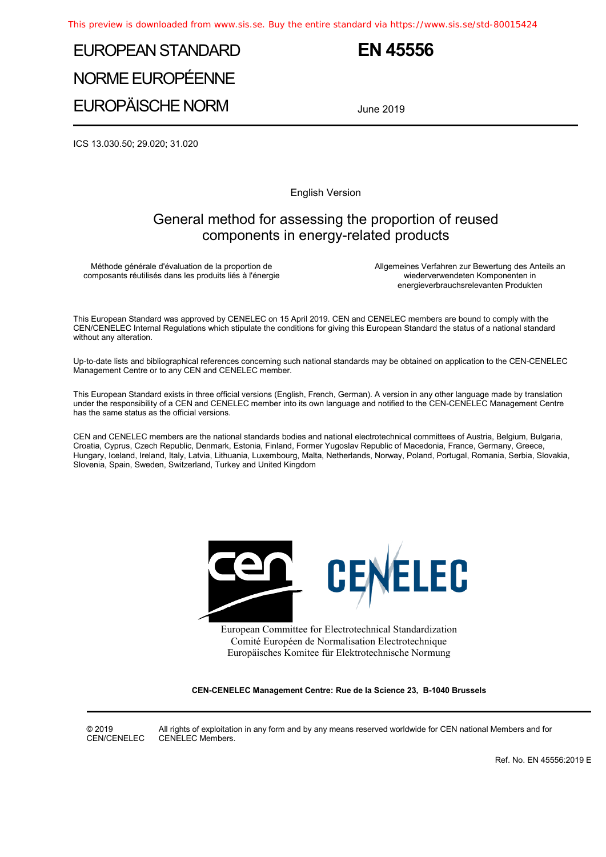## EUROPEAN STANDARD NORME EUROPÉENNE EUROPÄISCHE NORM

## **EN 45556**

June 2019

ICS 13.030.50; 29.020; 31.020

English Version

### General method for assessing the proportion of reused components in energy-related products

Méthode générale d'évaluation de la proportion de composants réutilisés dans les produits liés à l'énergie Allgemeines Verfahren zur Bewertung des Anteils an wiederverwendeten Komponenten in energieverbrauchsrelevanten Produkten

This European Standard was approved by CENELEC on 15 April 2019. CEN and CENELEC members are bound to comply with the CEN/CENELEC Internal Regulations which stipulate the conditions for giving this European Standard the status of a national standard without any alteration.

Up-to-date lists and bibliographical references concerning such national standards may be obtained on application to the CEN-CENELEC Management Centre or to any CEN and CENELEC member.

This European Standard exists in three official versions (English, French, German). A version in any other language made by translation under the responsibility of a CEN and CENELEC member into its own language and notified to the CEN-CENELEC Management Centre has the same status as the official versions.

CEN and CENELEC members are the national standards bodies and national electrotechnical committees of Austria, Belgium, Bulgaria, Croatia, Cyprus, Czech Republic, Denmark, Estonia, Finland, Former Yugoslav Republic of Macedonia, France, Germany, Greece, Hungary, Iceland, Ireland, Italy, Latvia, Lithuania, Luxembourg, Malta, Netherlands, Norway, Poland, Portugal, Romania, Serbia, Slovakia, Slovenia, Spain, Sweden, Switzerland, Turkey and United Kingdom



European Committee for Electrotechnical Standardization Comité Européen de Normalisation Electrotechnique Europäisches Komitee für Elektrotechnische Normung

#### **CEN-CENELEC Management Centre: Rue de la Science 23, B-1040 Brussels**

© 2019 CEN/CENELEC All rights of exploitation in any form and by any means reserved worldwide for CEN national Members and for CENELEC Members.

Ref. No. EN 45556:2019 E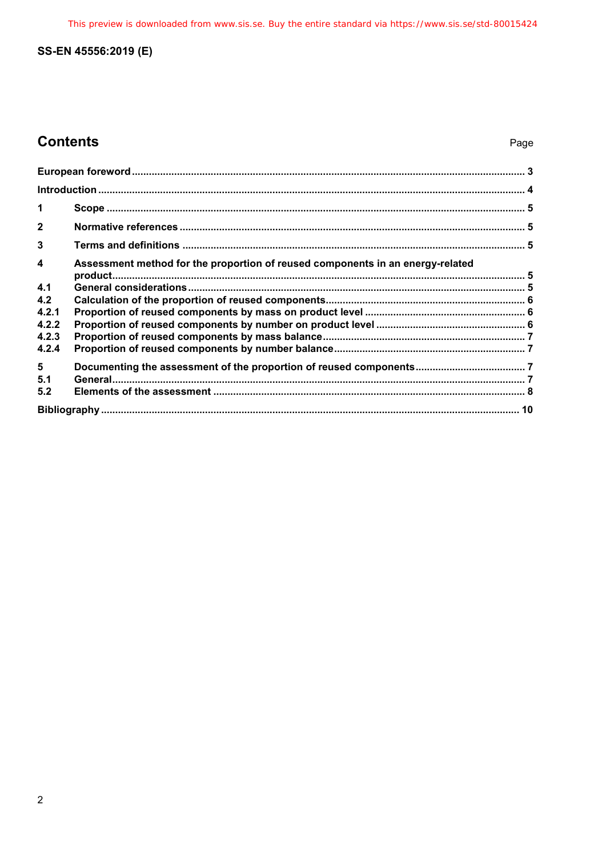This preview is downloaded from www.sis.se. Buy the entire standard via https://www.sis.se/std-80015424

### SS-EN 45556:2019 (E)

### **Contents**

| $\mathbf{2}$     |                                                                                |  |
|------------------|--------------------------------------------------------------------------------|--|
| 3                |                                                                                |  |
| $\boldsymbol{4}$ | Assessment method for the proportion of reused components in an energy-related |  |
| 4.1              |                                                                                |  |
| 4.2              |                                                                                |  |
| 4.2.1            |                                                                                |  |
| 4.2.2            |                                                                                |  |
| 4.2.3            |                                                                                |  |
| 4.2.4            |                                                                                |  |
| $5\overline{)}$  |                                                                                |  |
| 5.1              |                                                                                |  |
| 5.2              |                                                                                |  |
|                  |                                                                                |  |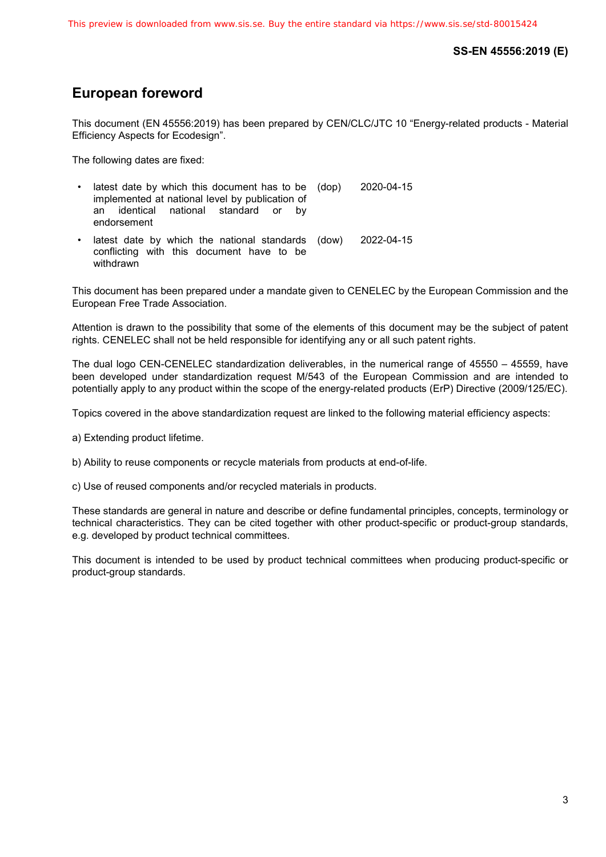**SS-EN 45556:2019 (E)**

### <span id="page-6-0"></span>**European foreword**

This document (EN 45556:2019) has been prepared by CEN/CLC/JTC 10 "Energy-related products - Material Efficiency Aspects for Ecodesign".

The following dates are fixed:

- latest date by which this document has to be (dop) implemented at national level by publication of an identical national standard or by endorsement 2020-04-15
- latest date by which the national standards (dow) conflicting with this document have to be withdrawn (dow) 2022-04-15

This document has been prepared under a mandate given to CENELEC by the European Commission and the European Free Trade Association.

Attention is drawn to the possibility that some of the elements of this document may be the subject of patent rights. CENELEC shall not be held responsible for identifying any or all such patent rights.

The dual logo CEN-CENELEC standardization deliverables, in the numerical range of 45550 – 45559, have been developed under standardization request M/543 of the European Commission and are intended to potentially apply to any product within the scope of the energy-related products (ErP) Directive (2009/125/EC).

Topics covered in the above standardization request are linked to the following material efficiency aspects:

- a) Extending product lifetime.
- b) Ability to reuse components or recycle materials from products at end-of-life.
- c) Use of reused components and/or recycled materials in products.

These standards are general in nature and describe or define fundamental principles, concepts, terminology or technical characteristics. They can be cited together with other product-specific or product-group standards, e.g. developed by product technical committees.

This document is intended to be used by product technical committees when producing product-specific or product-group standards.